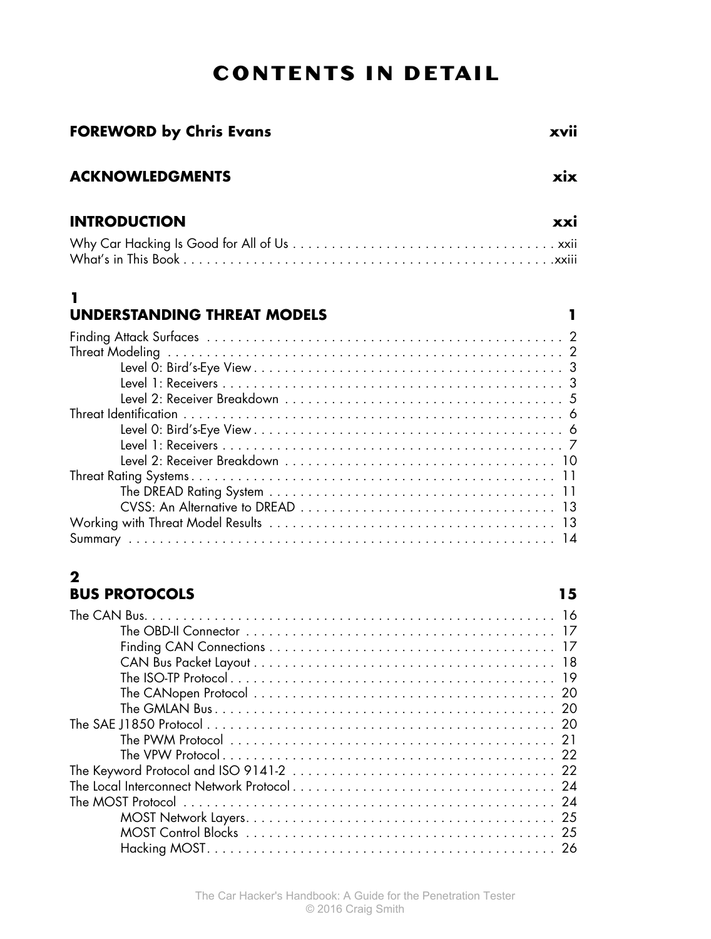# **Contents in Detail**

| <b>FOREWORD by Chris Evans</b>          | xvii |
|-----------------------------------------|------|
| <b>ACKNOWLEDGMENTS</b>                  | xix  |
| <b>INTRODUCTION</b>                     | xxi  |
|                                         |      |
| 1<br><b>UNDERSTANDING THREAT MODELS</b> | L    |
|                                         |      |
|                                         |      |
|                                         |      |
|                                         |      |
|                                         |      |
|                                         |      |
|                                         |      |
|                                         |      |
|                                         |      |
|                                         |      |
|                                         |      |
|                                         |      |
|                                         |      |
|                                         |      |
| 2                                       |      |
| <b>BUS PROTOCOLS</b>                    | 15   |
|                                         | 16   |
|                                         |      |
|                                         |      |
|                                         |      |
|                                         | 19   |
|                                         |      |
|                                         |      |
|                                         | 20   |
|                                         | 21   |
|                                         |      |
|                                         |      |
|                                         |      |
|                                         |      |
|                                         |      |
|                                         |      |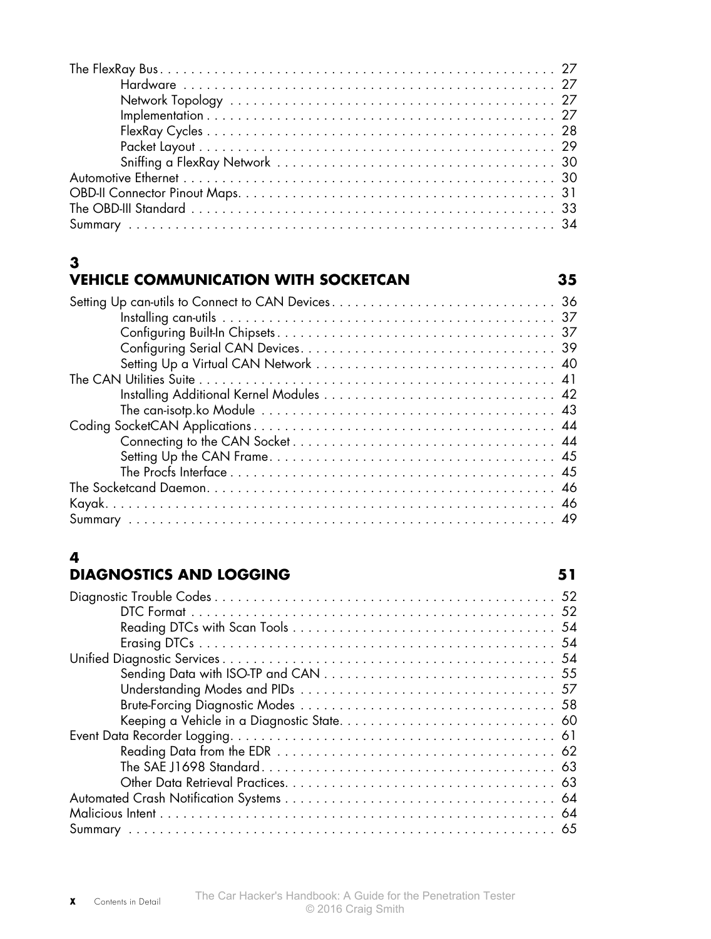# **3**

## **VEHICLE COMMUNICATION WITH SOCKETCAN 35**

# **4**

# **Diagnostics and Logging 51**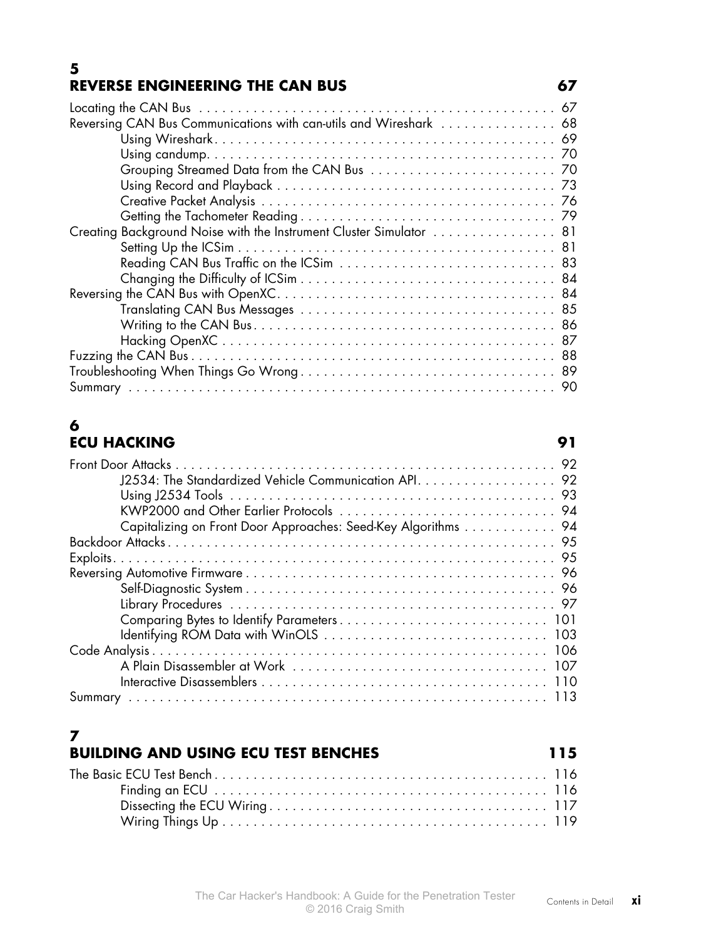### **5 REVERSE ENGINEERING THE CAN BUS 67**

| Reversing CAN Bus Communications with can-utils and Wireshark  68   |  |
|---------------------------------------------------------------------|--|
|                                                                     |  |
|                                                                     |  |
|                                                                     |  |
|                                                                     |  |
|                                                                     |  |
|                                                                     |  |
| Creating Background Noise with the Instrument Cluster Simulator  81 |  |
|                                                                     |  |
|                                                                     |  |
|                                                                     |  |
|                                                                     |  |
|                                                                     |  |
|                                                                     |  |
|                                                                     |  |
|                                                                     |  |
|                                                                     |  |
|                                                                     |  |
|                                                                     |  |

## **6 ECU Hacking 91**

| J2534: The Standardized Vehicle Communication API. 92         |
|---------------------------------------------------------------|
|                                                               |
|                                                               |
| Capitalizing on Front Door Approaches: Seed-Key Algorithms 94 |
|                                                               |
|                                                               |
|                                                               |
|                                                               |
|                                                               |
|                                                               |
|                                                               |
|                                                               |
|                                                               |
|                                                               |
|                                                               |

# **7**

# **Building and Using ECU Test Benches 115**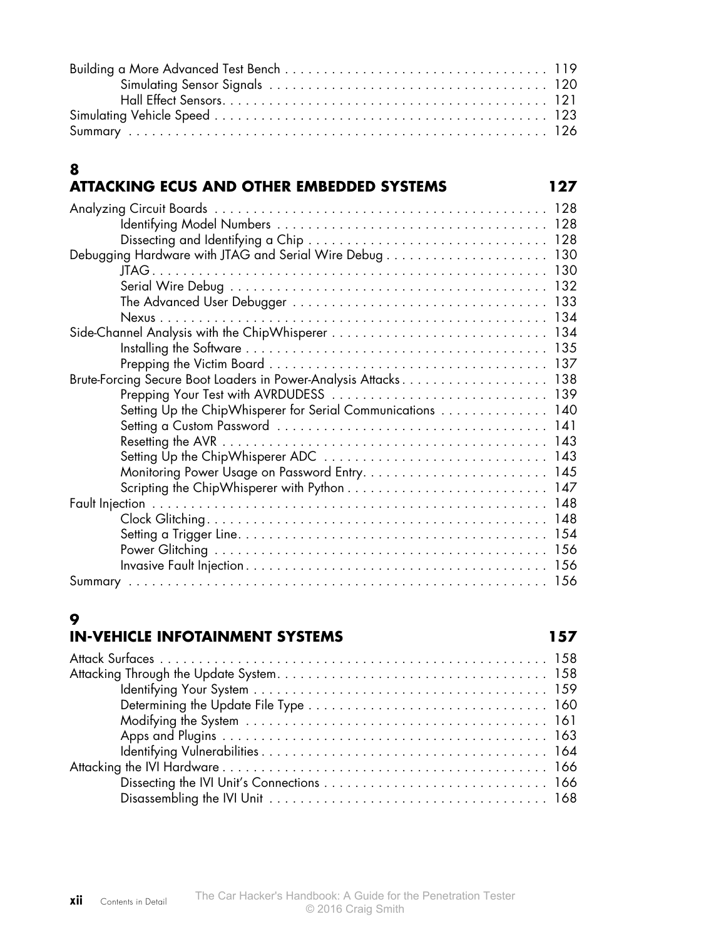| xii | Contents in Detail | The Car Hacker's Handbook: A Guide for the Penetration Tester<br>© 2016 Craig Smith |
|-----|--------------------|-------------------------------------------------------------------------------------|

# **9**

**8**

## **In-Vehicle Infotainment Systems 157**

Summary . . . . . . . . . . . . . . . . . . . . . . . . . . . . . . . . . . . . . . . . . . . . . . . . . . . . . . 156

| Brute-Forcing Secure Boot Loaders in Power-Analysis Attacks 138 |
|-----------------------------------------------------------------|
|                                                                 |
| Setting Up the ChipWhisperer for Serial Communications 140      |
|                                                                 |
|                                                                 |
|                                                                 |
|                                                                 |
|                                                                 |
|                                                                 |
|                                                                 |
|                                                                 |
|                                                                 |
|                                                                 |

# **Att acking ECUs and Other Embedded Systems 127**

Analyzing Circuit Boards . . . . . . . . . . . . . . . . . . . . . . . . . . . . . . . . . . . . . . . . . . . 128

Debugging Hardware with JTAG and Serial Wire Debug . . . . . . . . . . . . . . . . . . . . . 130

Identifying Model Numbers . . . . . . . . . . . . . . . . . . . . . . . . . . . . . . . . . . . 128 Dissecting and Identifying a Chip . . . . . . . . . . . . . . . . . . . . . . . . . . . . . . . 128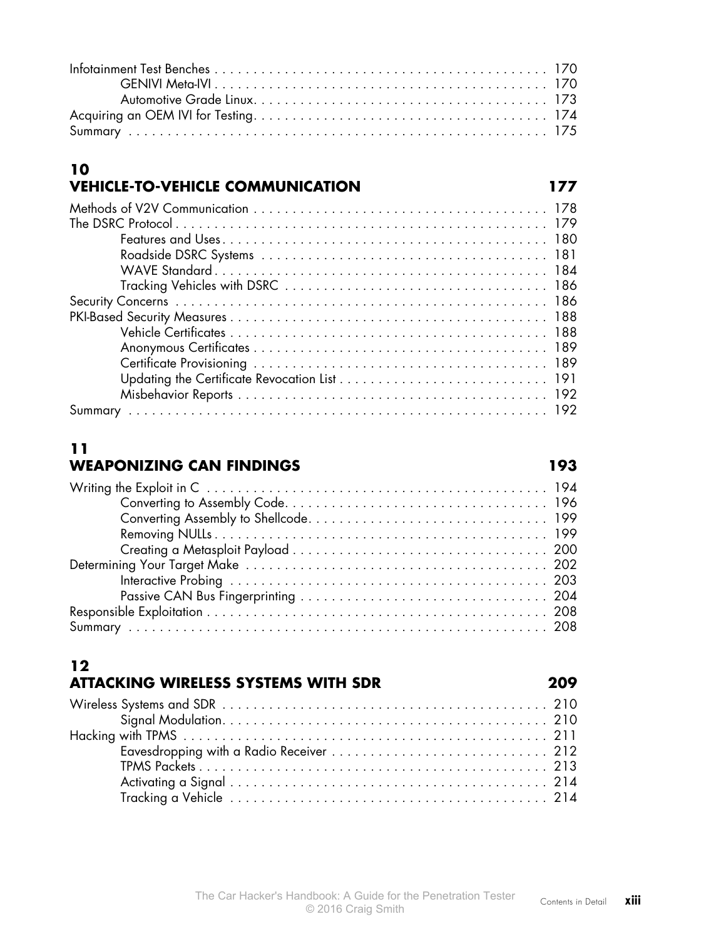### **10 Vehicle-to-Vehicle Communication 177**

# **11 Weaponizing CAN Findings 193**

# **12**

| <b>ATTACKING WIRELESS SYSTEMS WITH SDR</b> |  |
|--------------------------------------------|--|
|                                            |  |
|                                            |  |
|                                            |  |
|                                            |  |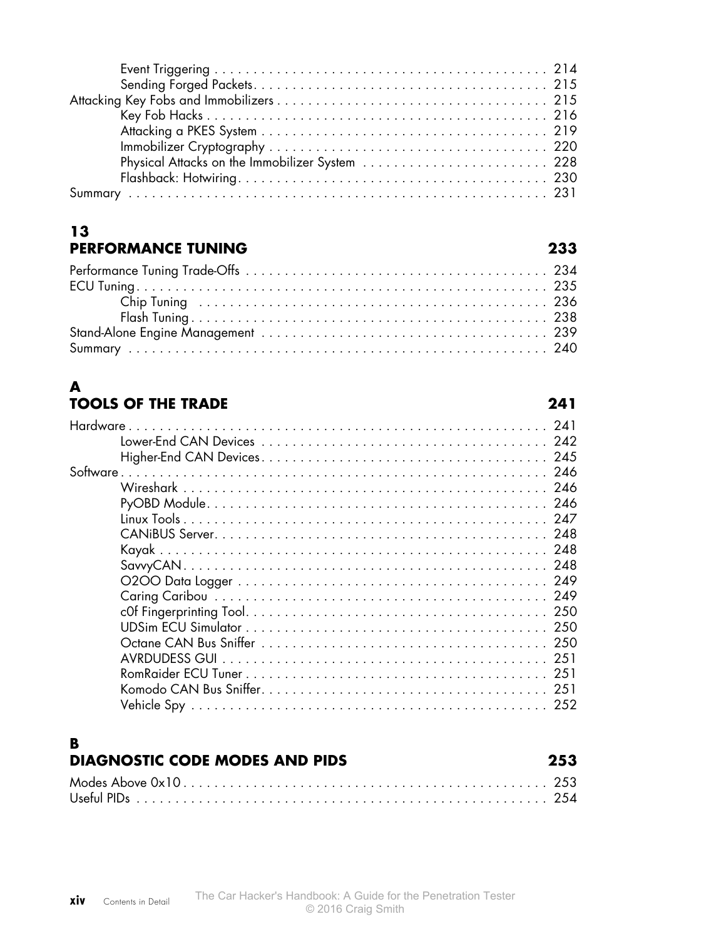| Physical Attacks on the Immobilizer System  228 |  |
|-------------------------------------------------|--|
|                                                 |  |
|                                                 |  |
|                                                 |  |

### **13 Performance Tuning 233**

### **A Tools of the Trade 241**

| Hardware |               |  |
|----------|---------------|--|
|          |               |  |
|          |               |  |
|          |               |  |
|          |               |  |
|          |               |  |
|          |               |  |
|          |               |  |
|          |               |  |
|          |               |  |
|          |               |  |
|          |               |  |
|          |               |  |
|          |               |  |
|          |               |  |
|          | AVRDUDESS GUL |  |
|          |               |  |
|          |               |  |
|          | 252           |  |
|          |               |  |

### **B Diagnostic Code Modes and PIDs 253**

| __________________________________ | ---- |
|------------------------------------|------|
|                                    |      |
|                                    |      |